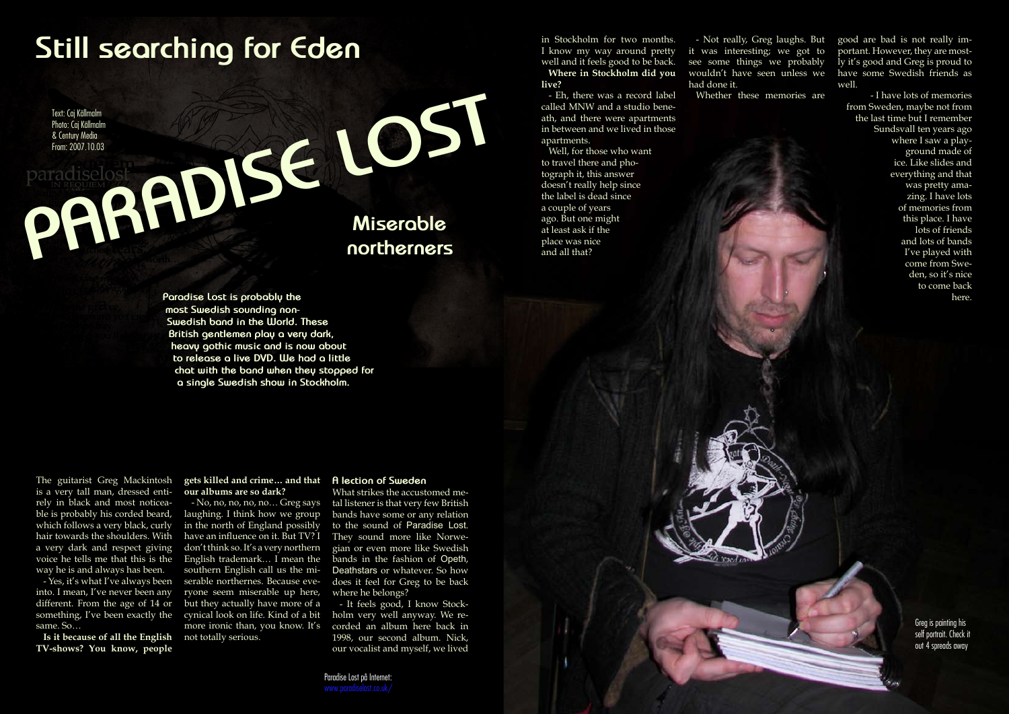The guitarist Greg Mackintosh

is a very tall man, dressed entirely in black and most noticeable is probably his corded beard, which follows a very black, curly hair towards the shoulders. With a very dark and respect giving voice he tells me that this is the way he is and always has been.

- Yes, it's what I've always been into. I mean, I've never been any different. From the age of 14 or something, I've been exactly the same. So…

**Is it because of all the English TV-shows? You know, people** 

# **Still searching for Eden**

**Paradise Lost is probably the most Swedish sounding non-Swedish band in the World. These British gentlemen play a very dark, heavy gothic music and is now about to release a live DVD. We had a little chat with the band when they stopped for a single Swedish show in Stockholm.**

### **gets killed and crime… and that our albums are so dark?**

- No, no, no, no, no… Greg says laughing. I think how we group in the north of England possibly have an influence on it. But TV? I don't think so. It's a very northern English trademark… I mean the southern English call us the miserable northernes. Because everyone seem miserable up here, but they actually have more of a cynical look on life. Kind of a bit more ironic than, you know. It's not totally serious.

### **A lection of Sweden**

What strikes the accustomed metal listener is that very few British bands have some or any relation to the sound of Paradise Lost. They sound more like Norwegian or even more like Swedish bands in the fashion of Opeth, Deathstars or whatever. So how does it feel for Greg to be back where he belongs?

- It feels good, I know Stockholm very well anyway. We recorded an album here back in 1998, our second album. Nick, our vocalist and myself, we lived

Text: Caj Källmalm Photo: Caj Källmalm & Century Media From: 2007.10.03

Feder Crigitalmann<br>
<sup>Photo Crigitalmann</sup><br>
From: 2007.10.03<br> **PARDISE Miserable**<br> **Miserable**<br> **northerners** 

in Stockholm for two months. I know my way around pretty well and it feels good to be back. **Where in Stockholm did you live?**

- Eh, there was a record label called MNW and a studio beneath, and there were apartments in between and we lived in those apartments.

Well, for those who want to travel there and photograph it, this answer doesn't really help since the label is dead since a couple of years ago. But one might at least ask if the place was nice and all that?

- Not really, Greg laughs. But it was interesting; we got to see some things we probably wouldn't have seen unless we had done it.

Whether these memories are

good are bad is not really important. However, they are mostly it's good and Greg is proud to have some Swedish friends as well.

- I have lots of memories from Sweden, maybe not from the last time but I remember Sundsvall ten years ago where I saw a playground made of ice. Like slides and everything and that was pretty amazing. I have lots of memories from this place. I have lots of friends and lots of bands I've played with come from Sweden, so it's nice to come back here.

> Greg is painting his self portrait. Check it out 4 spreads away

177 Hallowed Police Police Police Police Police Police Police Police Police Police Police Police Police Police Police Police Police Police Police Police Police Police Police Police Police Police Police Police Police Police

Paradise Lost på Internet: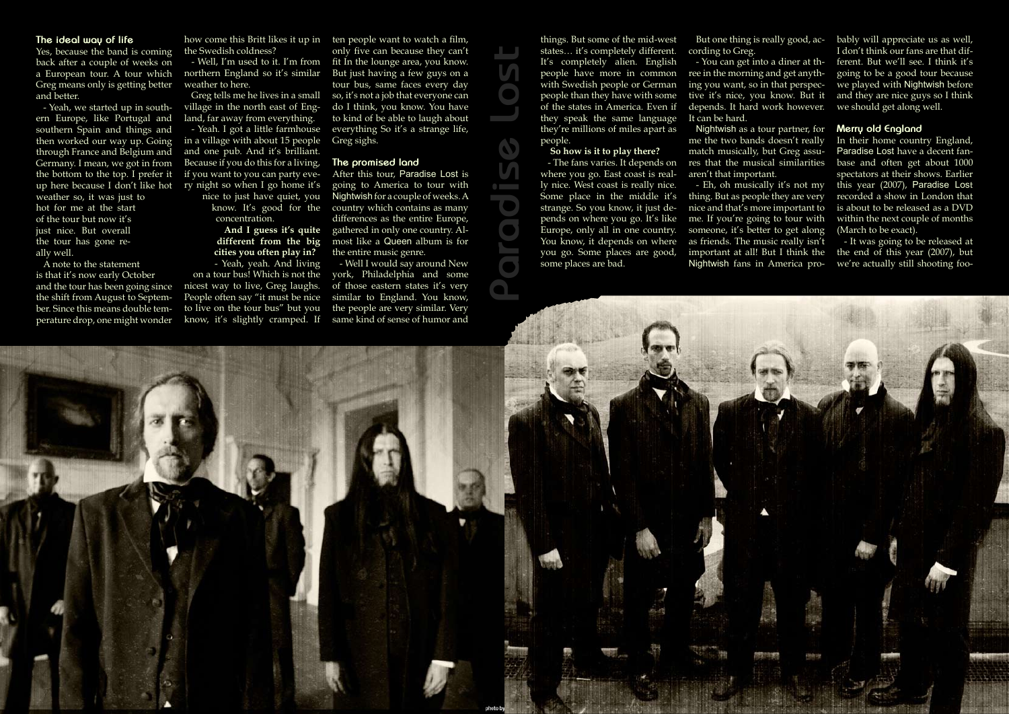Hallowed PDF-Magazine **178** Nummer 2.02 (orering)



### **The ideal way of life**

Yes, because the band is coming back after a couple of weeks on a European tour. A tour which Greg means only is getting better and better.

- Yeah, we started up in southern Europe, like Portugal and southern Spain and things and then worked our way up. Going through France and Belgium and Germany. I mean, we got in from the bottom to the top. I prefer it weather so, it was just to hot for me at the start of the tour but now it's just nice. But overall the tour has gone really well.

A note to the statement is that it's now early October and the tour has been going since the shift from August to September. Since this means double temperature drop, one might wonder

up here because I don't like hot ry night so when I go home it's - Yeah. I got a little farmhouse in a village with about 15 people and one pub. And it's brilliant. Because if you do this for a living, if you want to you can party eve-

the Swedish coldness?

- Well, I'm used to it. I'm from northern England so it's similar weather to here.

how come this Britt likes it up in ten people want to watch a film, only five can because they can't fit In the lounge area, you know. But just having a few guys on a tour bus, same faces every day so, it's not a job that everyone can do I think, you know. You have to kind of be able to laugh about everything So it's a strange life, Greg sighs.

Greg tells me he lives in a small village in the north east of England, far away from everything.

> nice to just have quiet, you know. It's good for the concentration.

- The fans varies. It depends on res that the musical similarities Nightwish as a tour partner, for me the two bands doesn't really match musically, but Greg assuaren't that important. - Eh, oh musically it's not my thing. But as people they are very nice and that's more important to

**And I guess it's quite different from the big cities you often play in?**

- Yeah, yeah. And living on a tour bus! Which is not the nicest way to live, Greg laughs. People often say "it must be nice to live on the tour bus" but you know, it's slightly cramped. If

### **The promised land**

In their home country England, Paradise Lost have a decent fanbase and often get about 1000 spectators at their shows. Earlier this year (2007), Paradise Lost recorded a show in London that is about to be released as a DVD within the next couple of months (March to be exact).

After this tour, Paradise Lost is going to America to tour with Nightwish for a couple of weeks. A country which contains as many differences as the entire Europe, gathered in only one country. Almost like a Queen album is for the entire music genre.

- Well I would say around New york, Philadelphia and some of those eastern states it's very similar to England. You know, the people are very similar. Very same kind of sense of humor and

things. But some of the mid-west states… it's completely different. It's completely alien. English people have more in common with Swedish people or German people than they have with some of the states in America. Even if they speak the same language they're millions of miles apart as people.

#### **So how is it to play there?**

where you go. East coast is really nice. West coast is really nice. Some place in the middle it's strange. So you know, it just depends on where you go. It's like Europe, only all in one country. You know, it depends on where you go. Some places are good, some places are bad.

But one thing is really good, according to Greg.

- You can get into a diner at three in the morning and get anything you want, so in that perspective it's nice, you know. But it depends. It hard work however. It can be hard.

me. If you're going to tour with someone, it's better to get along as friends. The music really isn't important at all! But I think the Nightwish fans in America pro-

bably will appreciate us as well, I don't think our fans are that different. But we'll see. I think it's going to be a good tour because we played with Nightwish before and they are nice guys so I think we should get along well.

### **Merry old England**

- It was going to be released at the end of this year (2007), but we're actually still shooting foo-

**Paradise Lost**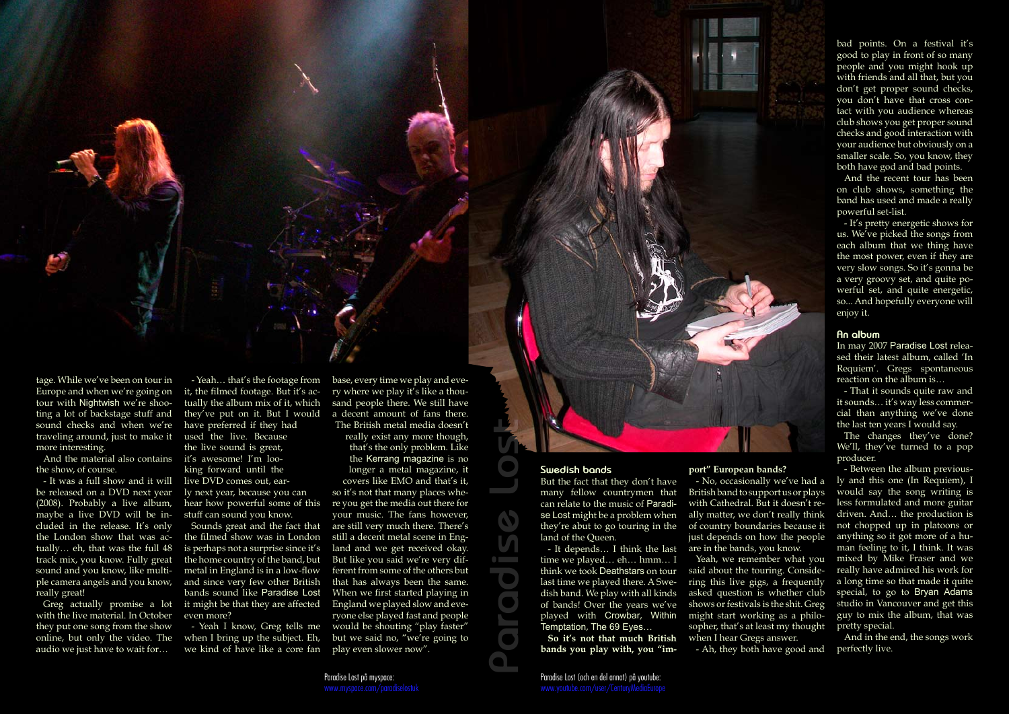

tage. While we've been on tour in Europe and when we're going on tour with Nightwish we're shooting a lot of backstage stuff and sound checks and when we're traveling around, just to make it more interesting.

And the material also contains the show, of course.

- It was a full show and it will be released on a DVD next year (2008). Probably a live album, maybe a live DVD will be included in the release. It's only the London show that was actually… eh, that was the full 48 track mix, you know. Fully great sound and you know, like multiple camera angels and you know, really great!

Greg actually promise a lot with the live material. In October they put one song from the show online, but only the video. The audio we just have to wait for…

- Yeah… that's the footage from it, the filmed footage. But it's actually the album mix of it, which they've put on it. But I would have preferred if they had used the live. Because the live sound is great, it's awesome! I'm looking forward until the live DVD comes out, early next year, because you can hear how powerful some of this stuff can sound you know.

Sounds great and the fact that the filmed show was in London is perhaps not a surprise since it's the home country of the band, but metal in England is in a low-flow and since very few other British bands sound like Paradise Lost it might be that they are affected even more?

- Yeah I know, Greg tells me when I bring up the subject. Eh, we kind of have like a core fan base, every time we play and every where we play it's like a thousand people there. We still have a decent amount of fans there. The British metal media doesn't

really exist any more though, that's the only problem. Like the Kerrang magazine is no longer a metal magazine, it covers like EMO and that's it, so it's not that many places where you get the media out there for your music. The fans however, are still very much there. There's still a decent metal scene in England and we get received okay. But like you said we're very different from some of the others but that has always been the same. When we first started playing in England we played slow and everyone else played fast and people would be shouting "play faster" but we said no, "we're going to play even slower now".

### **Swedish bands**

But the fact that they don't have many fellow countrymen that can relate to the music of Paradise Lost might be a problem when they're abut to go touring in the land of the Queen.

- It depends… I think the last time we played… eh… hmm… I think we took Deathstars on tour last time we played there. A Swedish band. We play with all kinds of bands! Over the years we've played with Crowbar, Within Temptation, The 69 Eyes…

**So it's not that much British bands you play with, you "im-**

### **port" European bands?**

- No, occasionally we've had a British band to support us or plays with Cathedral. But it doesn't really matter, we don't really think of country boundaries because it just depends on how the people are in the bands, you know.

Yeah, we remember what you

said about the touring. Considering this live gigs, a frequently asked question is whether club shows or festivals is the shit. Greg might start working as a philosopher, that's at least my thought when I hear Gregs answer.

- Ah, they both have good and

bad points. On a festival it's good to play in front of so many people and you might hook up with friends and all that, but you don't get proper sound checks, you don't have that cross contact with you audience whereas club shows you get proper sound checks and good interaction with your audience but obviously on a smaller scale. So, you know, they both have god and bad points.

And the recent tour has been on club shows, something the band has used and made a really powerful set-list.

- It's pretty energetic shows for us. We've picked the songs from each album that we thing have the most power, even if they are very slow songs. So it's gonna be a very groovy set, and quite powerful set, and quite energetic, so... And hopefully everyone will enjoy it.

### **An album**

In may 2007 Paradise Lost released their latest album, called 'In Requiem'. Gregs spontaneous reaction on the album is…

- That it sounds quite raw and it sounds… it's way less commercial than anything we've done the last ten years I would say.

The changes they've done? We'll, they've turned to a pop producer.

- Between the album previously and this one (In Requiem), I would say the song writing is less formulated and more guitar driven. And… the production is not chopped up in platoons or anything so it got more of a human feeling to it, I think. It was mixed by Mike Fraser and we really have admired his work for a long time so that made it quite special, to go to Bryan Adams studio in Vancouver and get this guy to mix the album, that was pretty special.

And in the end, the songs work perfectly live.

Paradise Lost på myspace:

**Paradise Lost**

**Alberta Street** 

### Paradise Lost (och en del annat) på youtube: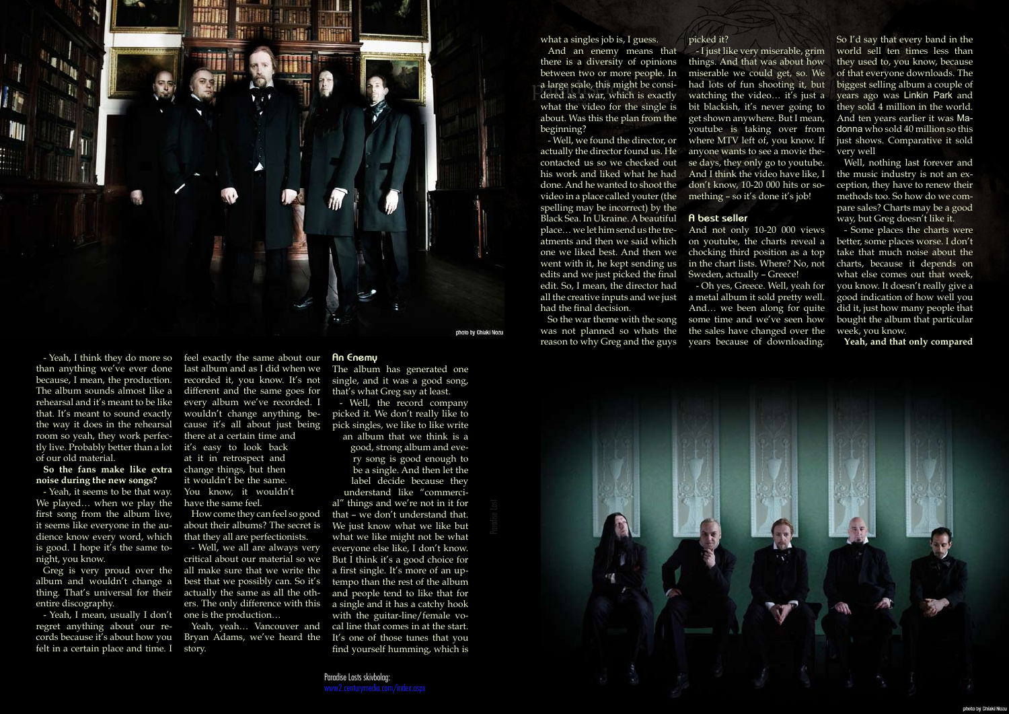

- Yeah, I think they do more so than anything we've ever done because, I mean, the production. The album sounds almost like a rehearsal and it's meant to be like that. It's meant to sound exactly the way it does in the rehearsal room so yeah, they work perfectly live. Probably better than a lot of our old material.

### **So the fans make like extra**  change things, but then **noise during the new songs?**

- Yeah, I mean, usually I don't one is the production... regret anything about our records because it's about how you felt in a certain place and time. I

- Yeah, it seems to be that way. We played… when we play the first song from the album live, it seems like everyone in the audience know every word, which is good. I hope it's the same tonight, you know.

Greg is very proud over the album and wouldn't change a entire discography.

feel exactly the same about our last album and as I did when we recorded it, you know. It's not different and the same goes for every album we've recorded. I wouldn't change anything, because it's all about just being there at a certain time and it's easy to look back at it in retrospect and

thing. That's universal for their actually the same as all the oth-- Well, we all are always very critical about our material so we all make sure that we write the best that we possibly can. So it's ers. The only difference with this

it wouldn't be the same. You know, it wouldn't have the same feel.

How come they can feel so good about their albums? The secret is that they all are perfectionists.

Yeah, yeah… Vancouver and Bryan Adams, we've heard the story.

### **An Enemy**

The album has generated one single, and it was a good song, that's what Greg say at least.

- Well, the record company picked it. We don't really like to pick singles, we like to like write an album that we think is a

good, strong album and every song is good enough to be a single. And then let the label decide because they understand like "commercial" things and we're not in it for that – we don't understand that. We just know what we like but what we like might not be what everyone else like, I don't know. But I think it's a good choice for a first single. It's more of an uptempo than the rest of the album and people tend to like that for a single and it has a catchy hook with the guitar-line/female vocal line that comes in at the start. It's one of those tunes that you find yourself humming, which is

Paradise Losts skivbolag:

what a singles job is, I guess.

And an enemy means that there is a diversity of opinions between two or more people. In a large scale, this might be considered as a war, which is exactly what the video for the single is about. Was this the plan from the beginning?

- Well, we found the director, or actually the director found us. He contacted us so we checked out his work and liked what he had done. And he wanted to shoot the video in a place called youter (the spelling may be incorrect) by the Black Sea. In Ukraine. A beautiful place… we let him send us the treatments and then we said which one we liked best. And then we went with it, he kept sending us edits and we just picked the final edit. So, I mean, the director had all the creative inputs and we just a metal album it sold pretty well. had the final decision.

was not planned so whats the reason to why Greg and the guys

picked it? - I just like very miserable, grim things. And that was about how miserable we could get, so. We had lots of fun shooting it, but watching the video... it's just a bit blackish, it's never going to get shown anywhere. But I mean, youtube is taking over from where MTV left of, you know. If anyone wants to see a movie these days, they only go to youtube. And I think the video have like, I don't know, 10-20 000 hits or something – so it's done it's job!

So the war theme with the song some time and we've seen how - Oh yes, Greece. Well, yeah for And… we been along for quite the sales have changed over the years because of downloading.



**A best seller**

And not only 10-20 000 views on youtube, the charts reveal a chocking third position as a top in the chart lists. Where? No, not Sweden, actually – Greece!

So I'd say that every band in the world sell ten times less than they used to, you know, because of that everyone downloads. The biggest selling album a couple of years ago was Linkin Park and they sold 4 million in the world. And ten years earlier it was Madonna who sold 40 million so this just shows. Comparative it sold very well

Well, nothing last forever and the music industry is not an exception, they have to renew their methods too. So how do we compare sales? Charts may be a good way, but Greg doesn't like it.

- Some places the charts were better, some places worse. I don't take that much noise about the charts, because it depends on what else comes out that week, you know. It doesn't really give a good indication of how well you did it, just how many people that bought the album that particular week, you know.

**Yeah, and that only compared**